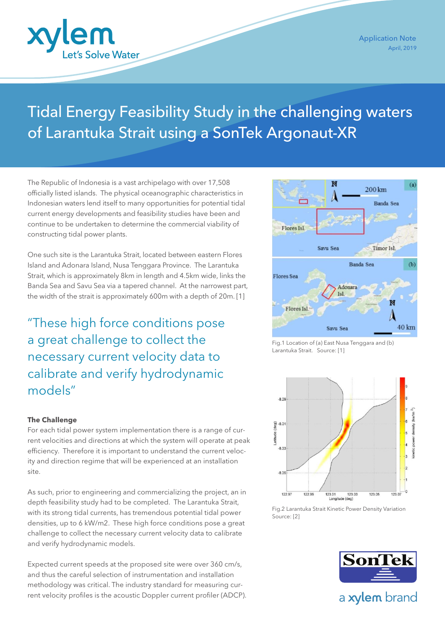

# Tidal Energy Feasibility Study in the challenging waters of Larantuka Strait using a SonTek Argonaut-XR

The Republic of Indonesia is a vast archipelago with over 17,508 officially listed islands. The physical oceanographic characteristics in Indonesian waters lend itself to many opportunities for potential tidal current energy developments and feasibility studies have been and continue to be undertaken to determine the commercial viability of constructing tidal power plants.

One such site is the Larantuka Strait, located between eastern Flores Island and Adonara Island, Nusa Tenggara Province. The Larantuka Strait, which is approximately 8km in length and 4.5km wide, links the Banda Sea and Savu Sea via a tapered channel. At the narrowest part, the width of the strait is approximately 600m with a depth of 20m. [1]

"These high force conditions pose a great challenge to collect the necessary current velocity data to calibrate and verify hydrodynamic models"

## **The Challenge**

For each tidal power system implementation there is a range of current velocities and directions at which the system will operate at peak efficiency. Therefore it is important to understand the current velocity and direction regime that will be experienced at an installation site.

As such, prior to engineering and commercializing the project, an in depth feasibility study had to be completed. The Larantuka Strait, with its strong tidal currents, has tremendous potential tidal power densities, up to 6 kW/m2. These high force conditions pose a great challenge to collect the necessary current velocity data to calibrate and verify hydrodynamic models.

Expected current speeds at the proposed site were over 360 cm/s, and thus the careful selection of instrumentation and installation methodology was critical. The industry standard for measuring current velocity profiles is the acoustic Doppler current profiler (ADCP).



Fig.1 Location of (a) East Nusa Tenggara and (b) Larantuka Strait. Source: [1]



Fig.2 Larantuka Strait Kinetic Power Density Variation Source: [2]



a xylem brand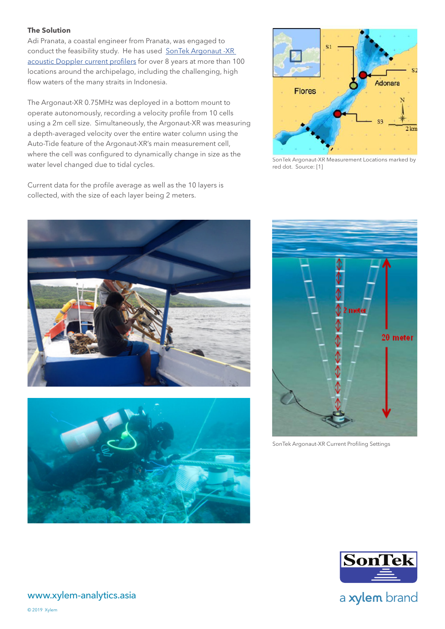# **The Solution**

Adi Pranata, a coastal engineer from Pranata, was engaged to conduct the feasibility study. He has used SonTek Argonaut -XR [acoustic Doppler current profilers](https://www.xylem-analytics.asia/productsdetail.php?SonTek-Argonaut--XR-ADCP-17) for over 8 years at more than 100 locations around the archipelago, including the challenging, high flow waters of the many straits in Indonesia.

The Argonaut-XR 0.75MHz was deployed in a bottom mount to operate autonomously, recording a velocity profile from 10 cells using a 2m cell size. Simultaneously, the Argonaut-XR was measuring a depth-averaged velocity over the entire water column using the Auto-Tide feature of the Argonaut-XR's main measurement cell, where the cell was configured to dynamically change in size as the water level changed due to tidal cycles.

Current data for the profile average as well as the 10 layers is



SonTek Argonaut-XR Measurement Locations marked by red dot. Source: [1]







SonTek Argonaut-XR Current Profiling Settings



a xylem brand

collected, with the size of each layer being 2 meters.

www.xylem-analytics.asia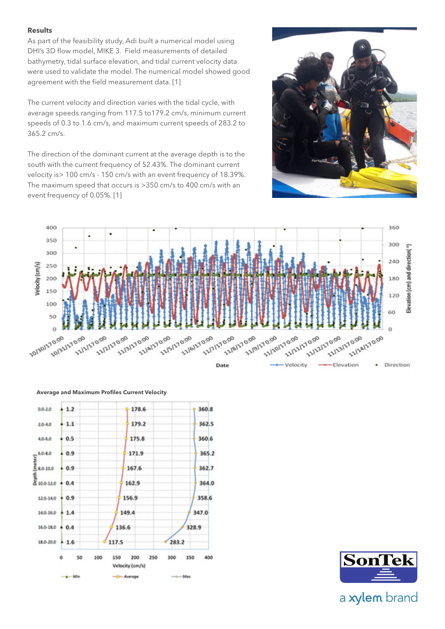#### **Results**

As part of the feasibility study, Adi built a numerical model using DHI's 3D flow model, MIKE 3. Field measurements of detailed bathymetry, tidal surface elevation, and tidal current velocity data were used to validate the model. The numerical model showed good agreement with the field measurement data. [1]

The current velocity and direction varies with the tidal cycle, with average speeds ranging from 117.5 to179.2 cm/s, minimum current speeds of 0.3 to 1.6 cm/s, and maximum current speeds of 283.2 to 365.2 cm/s.

The direction of the dominant current at the average depth is to the south with the current frequency of 52.43%. The dominant current velocity is> 100 cm/s - 150 cm/s with an event frequency of 18.39%. The maximum speed that occurs is >350 cm/s to 400 cm/s with an event frequency of 0.05%. [1]







**Average and Maximum Profiles Current Velocity**



a xylem brand